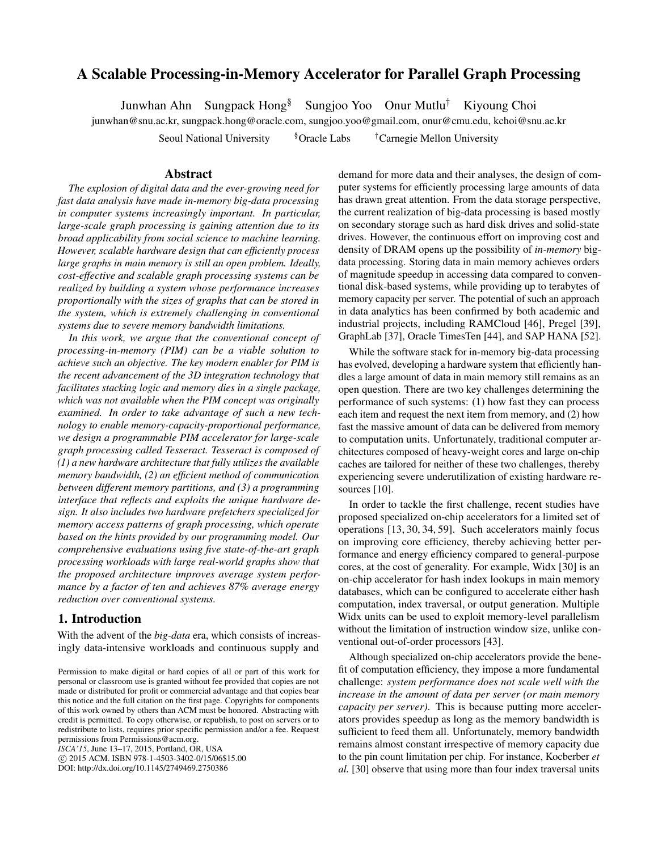# A Scalable Processing-in-Memory Accelerator for Parallel Graph Processing

Junwhan Ahn Sungpack Hong§ Sungjoo Yoo Onur Mutlu† Kiyoung Choi junwhan@snu.ac.kr, sungpack.hong@oracle.com, sungjoo.yoo@gmail.com, onur@cmu.edu, kchoi@snu.ac.kr

Seoul National University <sup>§</sup>Oracle Labs <sup>†</sup>Carnegie Mellon University

## Abstract

*The explosion of digital data and the ever-growing need for fast data analysis have made in-memory big-data processing in computer systems increasingly important. In particular, large-scale graph processing is gaining attention due to its broad applicability from social science to machine learning. However, scalable hardware design that can efficiently process large graphs in main memory is still an open problem. Ideally, cost-effective and scalable graph processing systems can be realized by building a system whose performance increases proportionally with the sizes of graphs that can be stored in the system, which is extremely challenging in conventional systems due to severe memory bandwidth limitations.*

*In this work, we argue that the conventional concept of processing-in-memory (PIM) can be a viable solution to achieve such an objective. The key modern enabler for PIM is the recent advancement of the 3D integration technology that facilitates stacking logic and memory dies in a single package, which was not available when the PIM concept was originally examined. In order to take advantage of such a new technology to enable memory-capacity-proportional performance, we design a programmable PIM accelerator for large-scale graph processing called Tesseract. Tesseract is composed of (1) a new hardware architecture that fully utilizes the available memory bandwidth, (2) an efficient method of communication between different memory partitions, and (3) a programming interface that reflects and exploits the unique hardware design. It also includes two hardware prefetchers specialized for memory access patterns of graph processing, which operate based on the hints provided by our programming model. Our comprehensive evaluations using five state-of-the-art graph processing workloads with large real-world graphs show that the proposed architecture improves average system performance by a factor of ten and achieves 87% average energy reduction over conventional systems.*

# 1. Introduction

With the advent of the *big-data* era, which consists of increasingly data-intensive workloads and continuous supply and

*ISCA'15*, June 13–17, 2015, Portland, OR, USA c 2015 ACM. ISBN 978-1-4503-3402-0/15/06\$15.00 DOI: http://dx.doi.org/10.1145/2749469.2750386

demand for more data and their analyses, the design of computer systems for efficiently processing large amounts of data has drawn great attention. From the data storage perspective, the current realization of big-data processing is based mostly on secondary storage such as hard disk drives and solid-state drives. However, the continuous effort on improving cost and density of DRAM opens up the possibility of *in-memory* bigdata processing. Storing data in main memory achieves orders of magnitude speedup in accessing data compared to conventional disk-based systems, while providing up to terabytes of memory capacity per server. The potential of such an approach in data analytics has been confirmed by both academic and industrial projects, including RAMCloud [46], Pregel [39], GraphLab [37], Oracle TimesTen [44], and SAP HANA [52].

While the software stack for in-memory big-data processing has evolved, developing a hardware system that efficiently handles a large amount of data in main memory still remains as an open question. There are two key challenges determining the performance of such systems: (1) how fast they can process each item and request the next item from memory, and (2) how fast the massive amount of data can be delivered from memory to computation units. Unfortunately, traditional computer architectures composed of heavy-weight cores and large on-chip caches are tailored for neither of these two challenges, thereby experiencing severe underutilization of existing hardware resources [10].

In order to tackle the first challenge, recent studies have proposed specialized on-chip accelerators for a limited set of operations [13, 30, 34, 59]. Such accelerators mainly focus on improving core efficiency, thereby achieving better performance and energy efficiency compared to general-purpose cores, at the cost of generality. For example, Widx [30] is an on-chip accelerator for hash index lookups in main memory databases, which can be configured to accelerate either hash computation, index traversal, or output generation. Multiple Widx units can be used to exploit memory-level parallelism without the limitation of instruction window size, unlike conventional out-of-order processors [43].

Although specialized on-chip accelerators provide the benefit of computation efficiency, they impose a more fundamental challenge: *system performance does not scale well with the increase in the amount of data per server (or main memory capacity per server)*. This is because putting more accelerators provides speedup as long as the memory bandwidth is sufficient to feed them all. Unfortunately, memory bandwidth remains almost constant irrespective of memory capacity due to the pin count limitation per chip. For instance, Kocberber *et al.* [30] observe that using more than four index traversal units

Permission to make digital or hard copies of all or part of this work for personal or classroom use is granted without fee provided that copies are not made or distributed for profit or commercial advantage and that copies bear this notice and the full citation on the first page. Copyrights for components of this work owned by others than ACM must be honored. Abstracting with credit is permitted. To copy otherwise, or republish, to post on servers or to redistribute to lists, requires prior specific permission and/or a fee. Request permissions from Permissions@acm.org.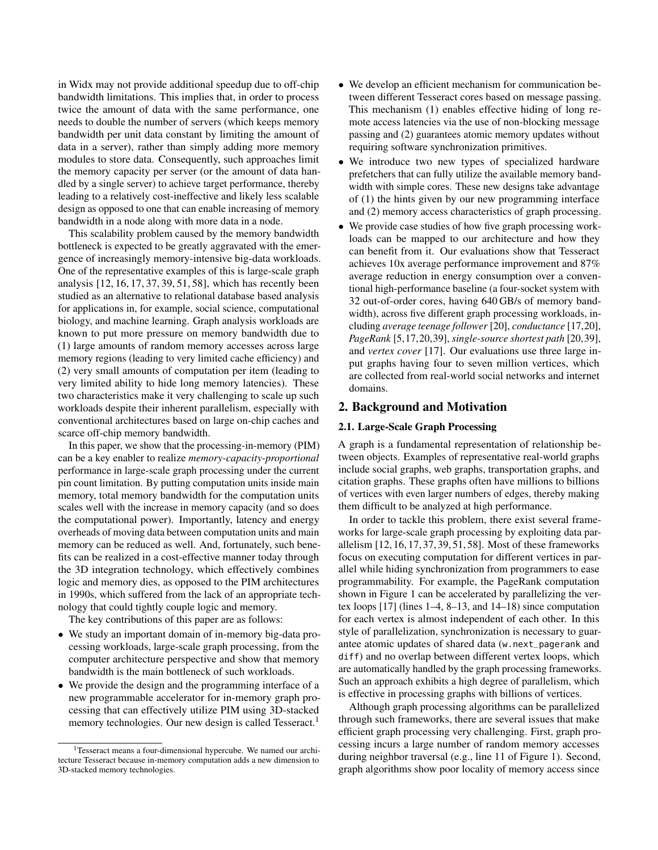in Widx may not provide additional speedup due to off-chip bandwidth limitations. This implies that, in order to process twice the amount of data with the same performance, one needs to double the number of servers (which keeps memory bandwidth per unit data constant by limiting the amount of data in a server), rather than simply adding more memory modules to store data. Consequently, such approaches limit the memory capacity per server (or the amount of data handled by a single server) to achieve target performance, thereby leading to a relatively cost-ineffective and likely less scalable design as opposed to one that can enable increasing of memory bandwidth in a node along with more data in a node.

This scalability problem caused by the memory bandwidth bottleneck is expected to be greatly aggravated with the emergence of increasingly memory-intensive big-data workloads. One of the representative examples of this is large-scale graph analysis [12, 16, 17, 37, 39, 51, 58], which has recently been studied as an alternative to relational database based analysis for applications in, for example, social science, computational biology, and machine learning. Graph analysis workloads are known to put more pressure on memory bandwidth due to (1) large amounts of random memory accesses across large memory regions (leading to very limited cache efficiency) and (2) very small amounts of computation per item (leading to very limited ability to hide long memory latencies). These two characteristics make it very challenging to scale up such workloads despite their inherent parallelism, especially with conventional architectures based on large on-chip caches and scarce off-chip memory bandwidth.

In this paper, we show that the processing-in-memory (PIM) can be a key enabler to realize *memory-capacity-proportional* performance in large-scale graph processing under the current pin count limitation. By putting computation units inside main memory, total memory bandwidth for the computation units scales well with the increase in memory capacity (and so does the computational power). Importantly, latency and energy overheads of moving data between computation units and main memory can be reduced as well. And, fortunately, such benefits can be realized in a cost-effective manner today through the 3D integration technology, which effectively combines logic and memory dies, as opposed to the PIM architectures in 1990s, which suffered from the lack of an appropriate technology that could tightly couple logic and memory.

The key contributions of this paper are as follows:

- We study an important domain of in-memory big-data processing workloads, large-scale graph processing, from the computer architecture perspective and show that memory bandwidth is the main bottleneck of such workloads.
- We provide the design and the programming interface of a new programmable accelerator for in-memory graph processing that can effectively utilize PIM using 3D-stacked memory technologies. Our new design is called Tesseract.<sup>1</sup>
- We develop an efficient mechanism for communication between different Tesseract cores based on message passing. This mechanism (1) enables effective hiding of long remote access latencies via the use of non-blocking message passing and (2) guarantees atomic memory updates without requiring software synchronization primitives.
- We introduce two new types of specialized hardware prefetchers that can fully utilize the available memory bandwidth with simple cores. These new designs take advantage of (1) the hints given by our new programming interface and (2) memory access characteristics of graph processing.
- We provide case studies of how five graph processing workloads can be mapped to our architecture and how they can benefit from it. Our evaluations show that Tesseract achieves 10x average performance improvement and 87% average reduction in energy consumption over a conventional high-performance baseline (a four-socket system with 32 out-of-order cores, having 640 GB/s of memory bandwidth), across five different graph processing workloads, including *average teenage follower* [20], *conductance* [17,20], *PageRank* [5,17,20,39], *single-source shortest path* [20,39], and *vertex cover* [17]. Our evaluations use three large input graphs having four to seven million vertices, which are collected from real-world social networks and internet domains.

## 2. Background and Motivation

#### 2.1. Large-Scale Graph Processing

A graph is a fundamental representation of relationship between objects. Examples of representative real-world graphs include social graphs, web graphs, transportation graphs, and citation graphs. These graphs often have millions to billions of vertices with even larger numbers of edges, thereby making them difficult to be analyzed at high performance.

In order to tackle this problem, there exist several frameworks for large-scale graph processing by exploiting data parallelism [12, 16, 17, 37, 39, 51, 58]. Most of these frameworks focus on executing computation for different vertices in parallel while hiding synchronization from programmers to ease programmability. For example, the PageRank computation shown in Figure 1 can be accelerated by parallelizing the vertex loops [17] (lines 1–4, 8–13, and 14–18) since computation for each vertex is almost independent of each other. In this style of parallelization, synchronization is necessary to guarantee atomic updates of shared data (w.next\_pagerank and diff) and no overlap between different vertex loops, which are automatically handled by the graph processing frameworks. Such an approach exhibits a high degree of parallelism, which is effective in processing graphs with billions of vertices.

Although graph processing algorithms can be parallelized through such frameworks, there are several issues that make efficient graph processing very challenging. First, graph processing incurs a large number of random memory accesses during neighbor traversal (e.g., line 11 of Figure 1). Second, graph algorithms show poor locality of memory access since

<sup>&</sup>lt;sup>1</sup>Tesseract means a four-dimensional hypercube. We named our architecture Tesseract because in-memory computation adds a new dimension to 3D-stacked memory technologies.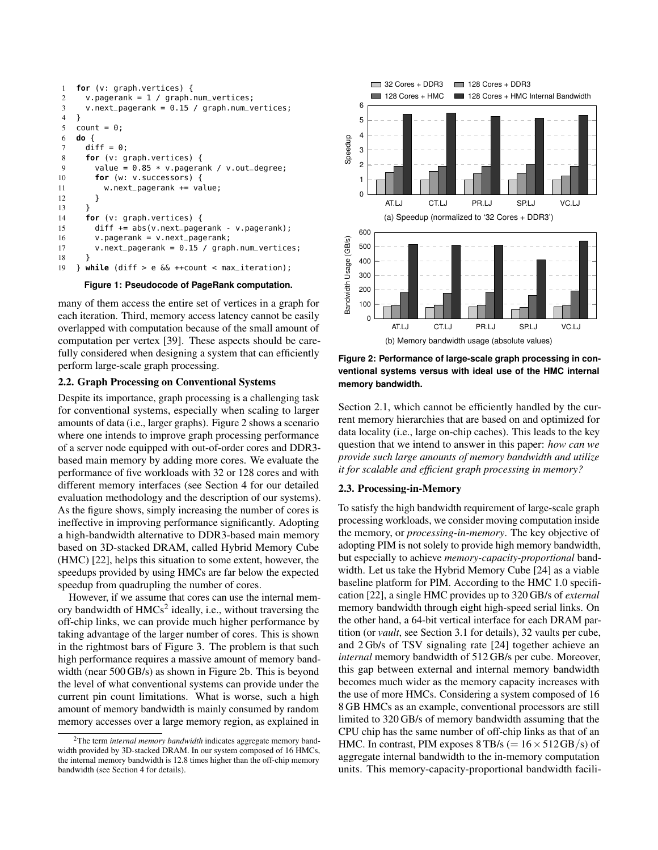```
1 for (v: graph.vertices) {
2 v.pagerank = 1 / graph.num_vertices;
3 v.next_pagerank = 0.15 / graph.num_vertices;
4 }
5 count = 0;
6 do {
7 diff = 0;
8 for (v: graph.vertices) {
9 value = 0.85 * v.pagerank / v.out-degree;<br>10 for (w: v.successors) {
       for (w: v.successors) {
11 w.next_pagerank += value;
12 }
13 }
14 for (v: graph.vertices) {
15 diff += abs(v.next_pagerank - v.pagerank);
16 v.pagerank = v.next_pagerank;
17 v.next_pagerank = 0.15 / graph.num_vertices;
18 }
19 } while (diff > e && ++count < max_iteration);
```
#### **Figure 1: Pseudocode of PageRank computation.**

many of them access the entire set of vertices in a graph for each iteration. Third, memory access latency cannot be easily overlapped with computation because of the small amount of computation per vertex [39]. These aspects should be carefully considered when designing a system that can efficiently perform large-scale graph processing.

## 2.2. Graph Processing on Conventional Systems

Despite its importance, graph processing is a challenging task for conventional systems, especially when scaling to larger amounts of data (i.e., larger graphs). Figure 2 shows a scenario where one intends to improve graph processing performance of a server node equipped with out-of-order cores and DDR3 based main memory by adding more cores. We evaluate the performance of five workloads with 32 or 128 cores and with different memory interfaces (see Section 4 for our detailed evaluation methodology and the description of our systems). As the figure shows, simply increasing the number of cores is ineffective in improving performance significantly. Adopting a high-bandwidth alternative to DDR3-based main memory based on 3D-stacked DRAM, called Hybrid Memory Cube (HMC) [22], helps this situation to some extent, however, the speedups provided by using HMCs are far below the expected speedup from quadrupling the number of cores.

However, if we assume that cores can use the internal memory bandwidth of HMCs<sup>2</sup> ideally, i.e., without traversing the off-chip links, we can provide much higher performance by taking advantage of the larger number of cores. This is shown in the rightmost bars of Figure 3. The problem is that such high performance requires a massive amount of memory bandwidth (near 500 GB/s) as shown in Figure 2b. This is beyond the level of what conventional systems can provide under the current pin count limitations. What is worse, such a high amount of memory bandwidth is mainly consumed by random memory accesses over a large memory region, as explained in



**Figure 2: Performance of large-scale graph processing in conventional systems versus with ideal use of the HMC internal memory bandwidth.**

Section 2.1, which cannot be efficiently handled by the current memory hierarchies that are based on and optimized for data locality (i.e., large on-chip caches). This leads to the key question that we intend to answer in this paper: *how can we provide such large amounts of memory bandwidth and utilize it for scalable and efficient graph processing in memory?*

## 2.3. Processing-in-Memory

To satisfy the high bandwidth requirement of large-scale graph processing workloads, we consider moving computation inside the memory, or *processing-in-memory*. The key objective of adopting PIM is not solely to provide high memory bandwidth, but especially to achieve *memory-capacity-proportional* bandwidth. Let us take the Hybrid Memory Cube [24] as a viable baseline platform for PIM. According to the HMC 1.0 specification [22], a single HMC provides up to 320 GB/s of *external* memory bandwidth through eight high-speed serial links. On the other hand, a 64-bit vertical interface for each DRAM partition (or *vault*, see Section 3.1 for details), 32 vaults per cube, and 2 Gb/s of TSV signaling rate [24] together achieve an *internal* memory bandwidth of 512 GB/s per cube. Moreover, this gap between external and internal memory bandwidth becomes much wider as the memory capacity increases with the use of more HMCs. Considering a system composed of 16 8 GB HMCs as an example, conventional processors are still limited to 320 GB/s of memory bandwidth assuming that the CPU chip has the same number of off-chip links as that of an HMC. In contrast, PIM exposes  $8 \text{ TB/s } (= 16 \times 512 \text{ GB/s})$  of aggregate internal bandwidth to the in-memory computation units. This memory-capacity-proportional bandwidth facili-

<sup>2</sup>The term *internal memory bandwidth* indicates aggregate memory bandwidth provided by 3D-stacked DRAM. In our system composed of 16 HMCs, the internal memory bandwidth is 12.8 times higher than the off-chip memory bandwidth (see Section 4 for details).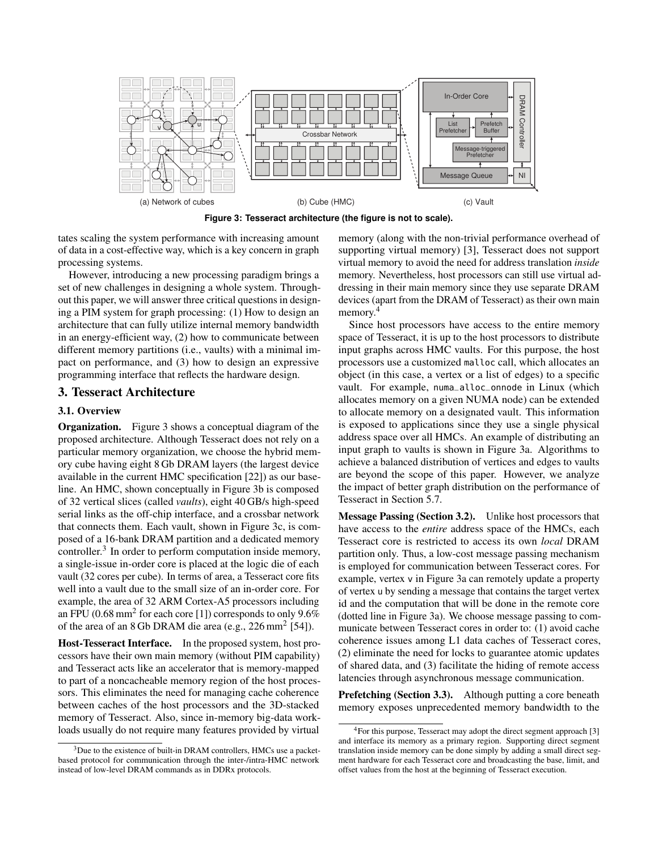

**Figure 3: Tesseract architecture (the figure is not to scale).**

tates scaling the system performance with increasing amount of data in a cost-effective way, which is a key concern in graph processing systems.

However, introducing a new processing paradigm brings a set of new challenges in designing a whole system. Throughout this paper, we will answer three critical questions in designing a PIM system for graph processing: (1) How to design an architecture that can fully utilize internal memory bandwidth in an energy-efficient way, (2) how to communicate between different memory partitions (i.e., vaults) with a minimal impact on performance, and (3) how to design an expressive programming interface that reflects the hardware design.

## 3. Tesseract Architecture

## 3.1. Overview

**Organization.** Figure 3 shows a conceptual diagram of the proposed architecture. Although Tesseract does not rely on a particular memory organization, we choose the hybrid memory cube having eight 8 Gb DRAM layers (the largest device available in the current HMC specification [22]) as our baseline. An HMC, shown conceptually in Figure 3b is composed of 32 vertical slices (called *vaults*), eight 40 GB/s high-speed serial links as the off-chip interface, and a crossbar network that connects them. Each vault, shown in Figure 3c, is composed of a 16-bank DRAM partition and a dedicated memory controller.<sup>3</sup> In order to perform computation inside memory, a single-issue in-order core is placed at the logic die of each vault (32 cores per cube). In terms of area, a Tesseract core fits well into a vault due to the small size of an in-order core. For example, the area of 32 ARM Cortex-A5 processors including an FPU (0.68 mm<sup>2</sup> for each core [1]) corresponds to only  $9.6\%$ of the area of an 8 Gb DRAM die area (e.g., 226 mm<sup>2</sup> [54]).

Host-Tesseract Interface. In the proposed system, host processors have their own main memory (without PIM capability) and Tesseract acts like an accelerator that is memory-mapped to part of a noncacheable memory region of the host processors. This eliminates the need for managing cache coherence between caches of the host processors and the 3D-stacked memory of Tesseract. Also, since in-memory big-data workloads usually do not require many features provided by virtual

memory (along with the non-trivial performance overhead of supporting virtual memory) [3], Tesseract does not support virtual memory to avoid the need for address translation *inside* memory. Nevertheless, host processors can still use virtual addressing in their main memory since they use separate DRAM devices (apart from the DRAM of Tesseract) as their own main memory.<sup>4</sup>

Since host processors have access to the entire memory space of Tesseract, it is up to the host processors to distribute input graphs across HMC vaults. For this purpose, the host processors use a customized malloc call, which allocates an object (in this case, a vertex or a list of edges) to a specific vault. For example, numa\_alloc\_onnode in Linux (which allocates memory on a given NUMA node) can be extended to allocate memory on a designated vault. This information is exposed to applications since they use a single physical address space over all HMCs. An example of distributing an input graph to vaults is shown in Figure 3a. Algorithms to achieve a balanced distribution of vertices and edges to vaults are beyond the scope of this paper. However, we analyze the impact of better graph distribution on the performance of Tesseract in Section 5.7.

Message Passing (Section 3.2). Unlike host processors that have access to the *entire* address space of the HMCs, each Tesseract core is restricted to access its own *local* DRAM partition only. Thus, a low-cost message passing mechanism is employed for communication between Tesseract cores. For example, vertex v in Figure 3a can remotely update a property of vertex u by sending a message that contains the target vertex id and the computation that will be done in the remote core (dotted line in Figure 3a). We choose message passing to communicate between Tesseract cores in order to: (1) avoid cache coherence issues among L1 data caches of Tesseract cores, (2) eliminate the need for locks to guarantee atomic updates of shared data, and (3) facilitate the hiding of remote access latencies through asynchronous message communication.

Prefetching (Section 3.3). Although putting a core beneath memory exposes unprecedented memory bandwidth to the

<sup>&</sup>lt;sup>3</sup>Due to the existence of built-in DRAM controllers, HMCs use a packetbased protocol for communication through the inter-/intra-HMC network instead of low-level DRAM commands as in DDRx protocols.

 ${}^{4}$ For this purpose, Tesseract may adopt the direct segment approach [3] and interface its memory as a primary region. Supporting direct segment translation inside memory can be done simply by adding a small direct segment hardware for each Tesseract core and broadcasting the base, limit, and offset values from the host at the beginning of Tesseract execution.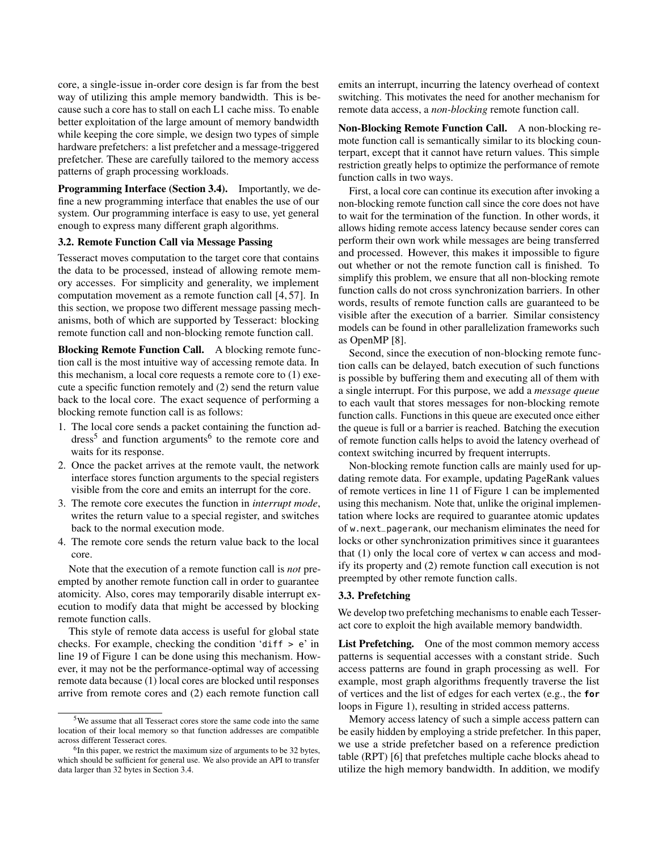core, a single-issue in-order core design is far from the best way of utilizing this ample memory bandwidth. This is because such a core has to stall on each L1 cache miss. To enable better exploitation of the large amount of memory bandwidth while keeping the core simple, we design two types of simple hardware prefetchers: a list prefetcher and a message-triggered prefetcher. These are carefully tailored to the memory access patterns of graph processing workloads.

Programming Interface (Section 3.4). Importantly, we define a new programming interface that enables the use of our system. Our programming interface is easy to use, yet general enough to express many different graph algorithms.

## 3.2. Remote Function Call via Message Passing

Tesseract moves computation to the target core that contains the data to be processed, instead of allowing remote memory accesses. For simplicity and generality, we implement computation movement as a remote function call [4, 57]. In this section, we propose two different message passing mechanisms, both of which are supported by Tesseract: blocking remote function call and non-blocking remote function call.

Blocking Remote Function Call. A blocking remote function call is the most intuitive way of accessing remote data. In this mechanism, a local core requests a remote core to (1) execute a specific function remotely and (2) send the return value back to the local core. The exact sequence of performing a blocking remote function call is as follows:

- 1. The local core sends a packet containing the function address<sup>5</sup> and function arguments<sup>6</sup> to the remote core and waits for its response.
- 2. Once the packet arrives at the remote vault, the network interface stores function arguments to the special registers visible from the core and emits an interrupt for the core.
- 3. The remote core executes the function in *interrupt mode*, writes the return value to a special register, and switches back to the normal execution mode.
- 4. The remote core sends the return value back to the local core.

Note that the execution of a remote function call is *not* preempted by another remote function call in order to guarantee atomicity. Also, cores may temporarily disable interrupt execution to modify data that might be accessed by blocking remote function calls.

This style of remote data access is useful for global state checks. For example, checking the condition 'diff > e' in line 19 of Figure 1 can be done using this mechanism. However, it may not be the performance-optimal way of accessing remote data because (1) local cores are blocked until responses arrive from remote cores and (2) each remote function call

emits an interrupt, incurring the latency overhead of context switching. This motivates the need for another mechanism for remote data access, a *non-blocking* remote function call.

Non-Blocking Remote Function Call. A non-blocking remote function call is semantically similar to its blocking counterpart, except that it cannot have return values. This simple restriction greatly helps to optimize the performance of remote function calls in two ways.

First, a local core can continue its execution after invoking a non-blocking remote function call since the core does not have to wait for the termination of the function. In other words, it allows hiding remote access latency because sender cores can perform their own work while messages are being transferred and processed. However, this makes it impossible to figure out whether or not the remote function call is finished. To simplify this problem, we ensure that all non-blocking remote function calls do not cross synchronization barriers. In other words, results of remote function calls are guaranteed to be visible after the execution of a barrier. Similar consistency models can be found in other parallelization frameworks such as OpenMP [8].

Second, since the execution of non-blocking remote function calls can be delayed, batch execution of such functions is possible by buffering them and executing all of them with a single interrupt. For this purpose, we add a *message queue* to each vault that stores messages for non-blocking remote function calls. Functions in this queue are executed once either the queue is full or a barrier is reached. Batching the execution of remote function calls helps to avoid the latency overhead of context switching incurred by frequent interrupts.

Non-blocking remote function calls are mainly used for updating remote data. For example, updating PageRank values of remote vertices in line 11 of Figure 1 can be implemented using this mechanism. Note that, unlike the original implementation where locks are required to guarantee atomic updates of w.next\_pagerank, our mechanism eliminates the need for locks or other synchronization primitives since it guarantees that (1) only the local core of vertex w can access and modify its property and (2) remote function call execution is not preempted by other remote function calls.

## 3.3. Prefetching

We develop two prefetching mechanisms to enable each Tesseract core to exploit the high available memory bandwidth.

List Prefetching. One of the most common memory access patterns is sequential accesses with a constant stride. Such access patterns are found in graph processing as well. For example, most graph algorithms frequently traverse the list of vertices and the list of edges for each vertex (e.g., the **for** loops in Figure 1), resulting in strided access patterns.

Memory access latency of such a simple access pattern can be easily hidden by employing a stride prefetcher. In this paper, we use a stride prefetcher based on a reference prediction table (RPT) [6] that prefetches multiple cache blocks ahead to utilize the high memory bandwidth. In addition, we modify

<sup>5</sup>We assume that all Tesseract cores store the same code into the same location of their local memory so that function addresses are compatible across different Tesseract cores.

<sup>&</sup>lt;sup>6</sup>In this paper, we restrict the maximum size of arguments to be 32 bytes, which should be sufficient for general use. We also provide an API to transfer data larger than 32 bytes in Section 3.4.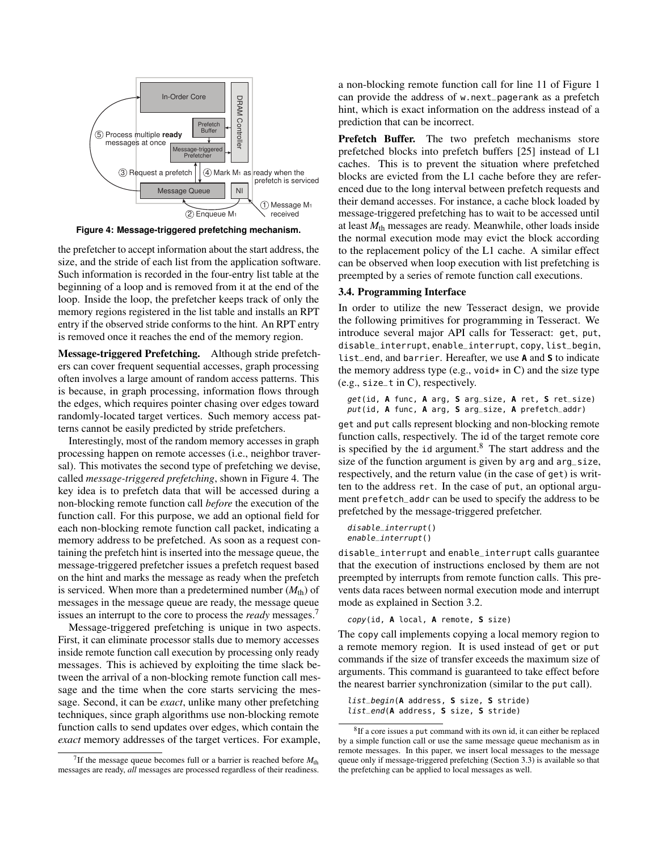

**Figure 4: Message-triggered prefetching mechanism.**

the prefetcher to accept information about the start address, the size, and the stride of each list from the application software. Such information is recorded in the four-entry list table at the beginning of a loop and is removed from it at the end of the loop. Inside the loop, the prefetcher keeps track of only the memory regions registered in the list table and installs an RPT entry if the observed stride conforms to the hint. An RPT entry is removed once it reaches the end of the memory region.

Message-triggered Prefetching. Although stride prefetchers can cover frequent sequential accesses, graph processing often involves a large amount of random access patterns. This is because, in graph processing, information flows through the edges, which requires pointer chasing over edges toward randomly-located target vertices. Such memory access patterns cannot be easily predicted by stride prefetchers.

Interestingly, most of the random memory accesses in graph processing happen on remote accesses (i.e., neighbor traversal). This motivates the second type of prefetching we devise, called *message-triggered prefetching*, shown in Figure 4. The key idea is to prefetch data that will be accessed during a non-blocking remote function call *before* the execution of the function call. For this purpose, we add an optional field for each non-blocking remote function call packet, indicating a memory address to be prefetched. As soon as a request containing the prefetch hint is inserted into the message queue, the message-triggered prefetcher issues a prefetch request based on the hint and marks the message as ready when the prefetch is serviced. When more than a predetermined number  $(M<sub>th</sub>)$  of messages in the message queue are ready, the message queue issues an interrupt to the core to process the *ready* messages.<sup>7</sup>

Message-triggered prefetching is unique in two aspects. First, it can eliminate processor stalls due to memory accesses inside remote function call execution by processing only ready messages. This is achieved by exploiting the time slack between the arrival of a non-blocking remote function call message and the time when the core starts servicing the message. Second, it can be *exact*, unlike many other prefetching techniques, since graph algorithms use non-blocking remote function calls to send updates over edges, which contain the *exact* memory addresses of the target vertices. For example, a non-blocking remote function call for line 11 of Figure 1 can provide the address of w.next\_pagerank as a prefetch hint, which is exact information on the address instead of a prediction that can be incorrect.

Prefetch Buffer. The two prefetch mechanisms store prefetched blocks into prefetch buffers [25] instead of L1 caches. This is to prevent the situation where prefetched blocks are evicted from the L1 cache before they are referenced due to the long interval between prefetch requests and their demand accesses. For instance, a cache block loaded by message-triggered prefetching has to wait to be accessed until at least *M*th messages are ready. Meanwhile, other loads inside the normal execution mode may evict the block according to the replacement policy of the L1 cache. A similar effect can be observed when loop execution with list prefetching is preempted by a series of remote function call executions.

## 3.4. Programming Interface

In order to utilize the new Tesseract design, we provide the following primitives for programming in Tesseract. We introduce several major API calls for Tesseract: get, put, disable\_interrupt, enable\_interrupt, copy, list\_begin, list\_end, and barrier. Hereafter, we use **A** and **S** to indicate the memory address type (e.g., void $*$  in C) and the size type (e.g., size\_t in C), respectively.

get(id, **A** func, **A** arg, **S** arg\_size, **A** ret, **S** ret\_size) put(id, **A** func, **A** arg, **S** arg\_size, **A** prefetch\_addr)

get and put calls represent blocking and non-blocking remote function calls, respectively. The id of the target remote core is specified by the id argument. $8$  The start address and the size of the function argument is given by arg and arg\_size, respectively, and the return value (in the case of get) is written to the address ret. In the case of put, an optional argument prefetch\_addr can be used to specify the address to be prefetched by the message-triggered prefetcher.

```
disable_interrupt()
enable_interrupt()
```
disable\_interrupt and enable\_interrupt calls guarantee that the execution of instructions enclosed by them are not preempted by interrupts from remote function calls. This prevents data races between normal execution mode and interrupt mode as explained in Section 3.2.

```
copy(id, A local, A remote, S size)
```
The copy call implements copying a local memory region to a remote memory region. It is used instead of get or put commands if the size of transfer exceeds the maximum size of arguments. This command is guaranteed to take effect before the nearest barrier synchronization (similar to the put call).

list\_begin(**A** address, **S** size, **S** stride) list\_end(**A** address, **S** size, **S** stride)

<sup>&</sup>lt;sup>7</sup>If the message queue becomes full or a barrier is reached before  $M_{\text{th}}$ messages are ready, *all* messages are processed regardless of their readiness.

<sup>&</sup>lt;sup>8</sup>If a core issues a put command with its own id, it can either be replaced by a simple function call or use the same message queue mechanism as in remote messages. In this paper, we insert local messages to the message queue only if message-triggered prefetching (Section 3.3) is available so that the prefetching can be applied to local messages as well.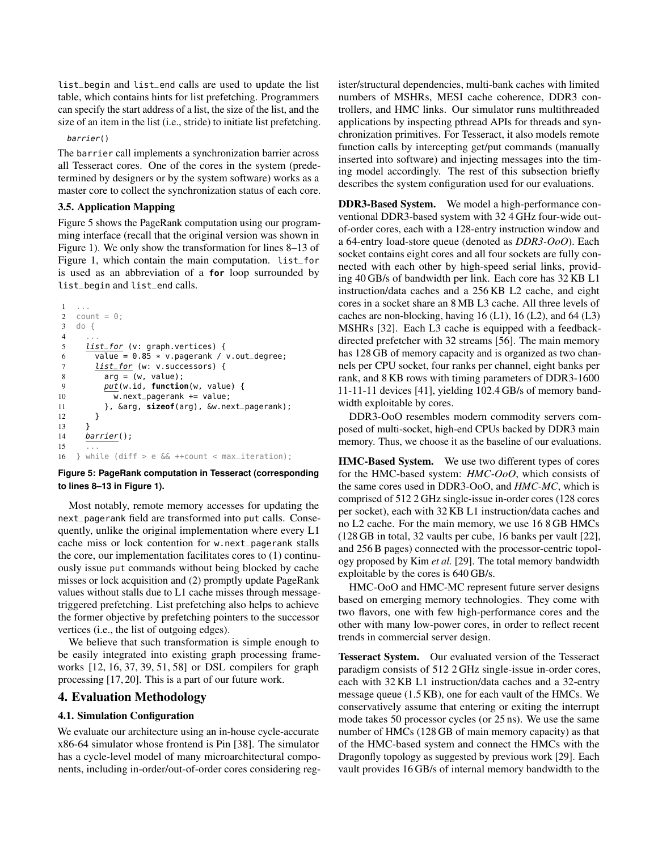list\_begin and list\_end calls are used to update the list table, which contains hints for list prefetching. Programmers can specify the start address of a list, the size of the list, and the size of an item in the list (i.e., stride) to initiate list prefetching.

#### barrier()

The barrier call implements a synchronization barrier across all Tesseract cores. One of the cores in the system (predetermined by designers or by the system software) works as a master core to collect the synchronization status of each core.

## 3.5. Application Mapping

Figure 5 shows the PageRank computation using our programming interface (recall that the original version was shown in Figure 1). We only show the transformation for lines 8–13 of Figure 1, which contain the main computation. list\_for is used as an abbreviation of a **for** loop surrounded by list\_begin and list\_end calls.

```
1 ...
2 count = 0;3 do {
 4 ...
5 list_for (v: graph.vertices) {
6 value = 0.85 * v.pagerank / v.out-degree;7 list_for (w: v.successors) {
8 arg = (w, value);
9 put(w.id, function(w, value) {
10 w.next_pagerank += value;
11 }, &arg, sizeof(arg), &w.next_pagerank);
12 }
13 }
14 <u>barrier</u>();
15
16 } while (diff > e && ++count < max_iteration);
```
## **Figure 5: PageRank computation in Tesseract (corresponding to lines 8–13 in Figure 1).**

Most notably, remote memory accesses for updating the next\_pagerank field are transformed into put calls. Consequently, unlike the original implementation where every L1 cache miss or lock contention for w.next\_pagerank stalls the core, our implementation facilitates cores to (1) continuously issue put commands without being blocked by cache misses or lock acquisition and (2) promptly update PageRank values without stalls due to L1 cache misses through messagetriggered prefetching. List prefetching also helps to achieve the former objective by prefetching pointers to the successor vertices (i.e., the list of outgoing edges).

We believe that such transformation is simple enough to be easily integrated into existing graph processing frameworks [12, 16, 37, 39, 51, 58] or DSL compilers for graph processing [17, 20]. This is a part of our future work.

## 4. Evaluation Methodology

#### 4.1. Simulation Configuration

We evaluate our architecture using an in-house cycle-accurate x86-64 simulator whose frontend is Pin [38]. The simulator has a cycle-level model of many microarchitectural components, including in-order/out-of-order cores considering register/structural dependencies, multi-bank caches with limited numbers of MSHRs, MESI cache coherence, DDR3 controllers, and HMC links. Our simulator runs multithreaded applications by inspecting pthread APIs for threads and synchronization primitives. For Tesseract, it also models remote function calls by intercepting get/put commands (manually inserted into software) and injecting messages into the timing model accordingly. The rest of this subsection briefly describes the system configuration used for our evaluations.

DDR3-Based System. We model a high-performance conventional DDR3-based system with 32 4 GHz four-wide outof-order cores, each with a 128-entry instruction window and a 64-entry load-store queue (denoted as *DDR3-OoO*). Each socket contains eight cores and all four sockets are fully connected with each other by high-speed serial links, providing 40 GB/s of bandwidth per link. Each core has 32 KB L1 instruction/data caches and a 256 KB L2 cache, and eight cores in a socket share an 8 MB L3 cache. All three levels of caches are non-blocking, having 16 (L1), 16 (L2), and 64 (L3) MSHRs [32]. Each L3 cache is equipped with a feedbackdirected prefetcher with 32 streams [56]. The main memory has 128 GB of memory capacity and is organized as two channels per CPU socket, four ranks per channel, eight banks per rank, and 8 KB rows with timing parameters of DDR3-1600 11-11-11 devices [41], yielding 102.4 GB/s of memory bandwidth exploitable by cores.

DDR3-OoO resembles modern commodity servers composed of multi-socket, high-end CPUs backed by DDR3 main memory. Thus, we choose it as the baseline of our evaluations.

HMC-Based System. We use two different types of cores for the HMC-based system: *HMC-OoO*, which consists of the same cores used in DDR3-OoO, and *HMC-MC*, which is comprised of 512 2 GHz single-issue in-order cores (128 cores per socket), each with 32 KB L1 instruction/data caches and no L2 cache. For the main memory, we use 16 8 GB HMCs (128 GB in total, 32 vaults per cube, 16 banks per vault [22], and 256 B pages) connected with the processor-centric topology proposed by Kim *et al.* [29]. The total memory bandwidth exploitable by the cores is 640 GB/s.

HMC-OoO and HMC-MC represent future server designs based on emerging memory technologies. They come with two flavors, one with few high-performance cores and the other with many low-power cores, in order to reflect recent trends in commercial server design.

Tesseract System. Our evaluated version of the Tesseract paradigm consists of 512 2 GHz single-issue in-order cores, each with 32 KB L1 instruction/data caches and a 32-entry message queue (1.5 KB), one for each vault of the HMCs. We conservatively assume that entering or exiting the interrupt mode takes 50 processor cycles (or 25 ns). We use the same number of HMCs (128 GB of main memory capacity) as that of the HMC-based system and connect the HMCs with the Dragonfly topology as suggested by previous work [29]. Each vault provides 16 GB/s of internal memory bandwidth to the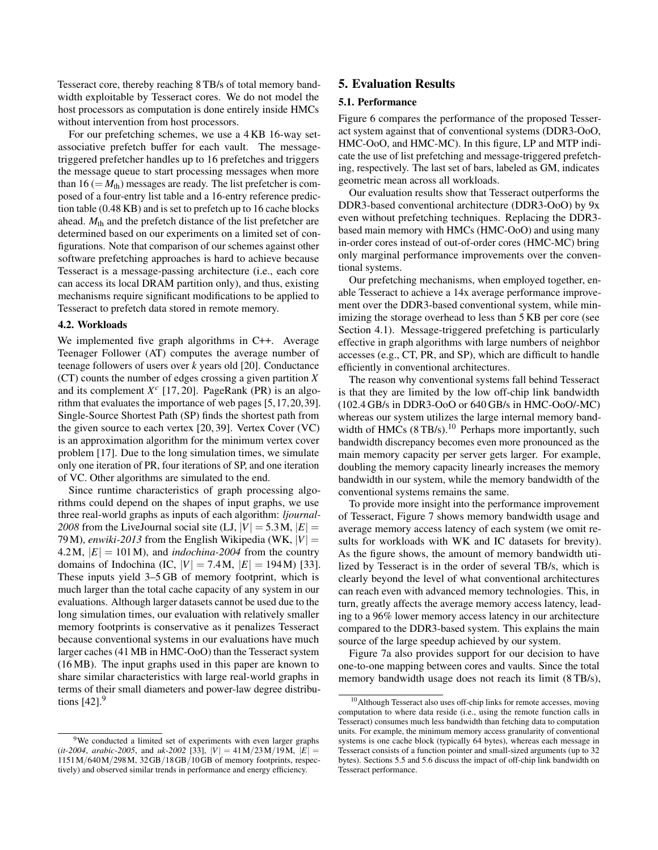Tesseract core, thereby reaching 8 TB/s of total memory bandwidth exploitable by Tesseract cores. We do not model the host processors as computation is done entirely inside HMCs without intervention from host processors.

For our prefetching schemes, we use a 4 KB 16-way setassociative prefetch buffer for each vault. The messagetriggered prefetcher handles up to 16 prefetches and triggers the message queue to start processing messages when more than  $16 (= M<sub>th</sub>)$  messages are ready. The list prefetcher is composed of a four-entry list table and a 16-entry reference prediction table (0.48 KB) and is set to prefetch up to 16 cache blocks ahead. *M*th and the prefetch distance of the list prefetcher are determined based on our experiments on a limited set of configurations. Note that comparison of our schemes against other software prefetching approaches is hard to achieve because Tesseract is a message-passing architecture (i.e., each core can access its local DRAM partition only), and thus, existing mechanisms require significant modifications to be applied to Tesseract to prefetch data stored in remote memory.

### 4.2. Workloads

We implemented five graph algorithms in C++. Average Teenager Follower (AT) computes the average number of teenage followers of users over *k* years old [20]. Conductance (CT) counts the number of edges crossing a given partition *X* and its complement  $X^c$  [17, 20]. PageRank (PR) is an algorithm that evaluates the importance of web pages [5,17,20,39]. Single-Source Shortest Path (SP) finds the shortest path from the given source to each vertex [20, 39]. Vertex Cover (VC) is an approximation algorithm for the minimum vertex cover problem [17]. Due to the long simulation times, we simulate only one iteration of PR, four iterations of SP, and one iteration of VC. Other algorithms are simulated to the end.

Since runtime characteristics of graph processing algorithms could depend on the shapes of input graphs, we use three real-world graphs as inputs of each algorithm: *ljournal-*2008 from the LiveJournal social site (LJ,  $|V| = 5.3$  M,  $|E| =$ 79M), *enwiki-2013* from the English Wikipedia (WK,  $|V|$  = 4.2M,  $|E| = 101$  M), and *indochina-2004* from the country domains of Indochina (IC,  $|V| = 7.4$ M,  $|E| = 194$ M) [33]. These inputs yield 3–5 GB of memory footprint, which is much larger than the total cache capacity of any system in our evaluations. Although larger datasets cannot be used due to the long simulation times, our evaluation with relatively smaller memory footprints is conservative as it penalizes Tesseract because conventional systems in our evaluations have much larger caches (41 MB in HMC-OoO) than the Tesseract system (16 MB). The input graphs used in this paper are known to share similar characteristics with large real-world graphs in terms of their small diameters and power-law degree distributions  $[42]$ <sup>9</sup>

## 5. Evaluation Results

### 5.1. Performance

Figure 6 compares the performance of the proposed Tesseract system against that of conventional systems (DDR3-OoO, HMC-OoO, and HMC-MC). In this figure, LP and MTP indicate the use of list prefetching and message-triggered prefetching, respectively. The last set of bars, labeled as GM, indicates geometric mean across all workloads.

Our evaluation results show that Tesseract outperforms the DDR3-based conventional architecture (DDR3-OoO) by 9x even without prefetching techniques. Replacing the DDR3 based main memory with HMCs (HMC-OoO) and using many in-order cores instead of out-of-order cores (HMC-MC) bring only marginal performance improvements over the conventional systems.

Our prefetching mechanisms, when employed together, enable Tesseract to achieve a 14x average performance improvement over the DDR3-based conventional system, while minimizing the storage overhead to less than 5 KB per core (see Section 4.1). Message-triggered prefetching is particularly effective in graph algorithms with large numbers of neighbor accesses (e.g., CT, PR, and SP), which are difficult to handle efficiently in conventional architectures.

The reason why conventional systems fall behind Tesseract is that they are limited by the low off-chip link bandwidth (102.4 GB/s in DDR3-OoO or 640 GB/s in HMC-OoO/-MC) whereas our system utilizes the large internal memory bandwidth of HMCs  $(8 \text{ TB/s})$ .<sup>10</sup> Perhaps more importantly, such bandwidth discrepancy becomes even more pronounced as the main memory capacity per server gets larger. For example, doubling the memory capacity linearly increases the memory bandwidth in our system, while the memory bandwidth of the conventional systems remains the same.

To provide more insight into the performance improvement of Tesseract, Figure 7 shows memory bandwidth usage and average memory access latency of each system (we omit results for workloads with WK and IC datasets for brevity). As the figure shows, the amount of memory bandwidth utilized by Tesseract is in the order of several TB/s, which is clearly beyond the level of what conventional architectures can reach even with advanced memory technologies. This, in turn, greatly affects the average memory access latency, leading to a 96% lower memory access latency in our architecture compared to the DDR3-based system. This explains the main source of the large speedup achieved by our system.

Figure 7a also provides support for our decision to have one-to-one mapping between cores and vaults. Since the total memory bandwidth usage does not reach its limit (8 TB/s),

<sup>&</sup>lt;sup>9</sup>We conducted a limited set of experiments with even larger graphs  $(it-2004$ , *arabic-2005*, and  $uk-2002$  [33],  $|V| = 41 M/23 M/19 M$ ,  $|E| =$ 1151M/640M/298M, 32GB/18GB/10GB of memory footprints, respectively) and observed similar trends in performance and energy efficiency.

<sup>10</sup>Although Tesseract also uses off-chip links for remote accesses, moving computation to where data reside (i.e., using the remote function calls in Tesseract) consumes much less bandwidth than fetching data to computation units. For example, the minimum memory access granularity of conventional systems is one cache block (typically 64 bytes), whereas each message in Tesseract consists of a function pointer and small-sized arguments (up to 32 bytes). Sections 5.5 and 5.6 discuss the impact of off-chip link bandwidth on Tesseract performance.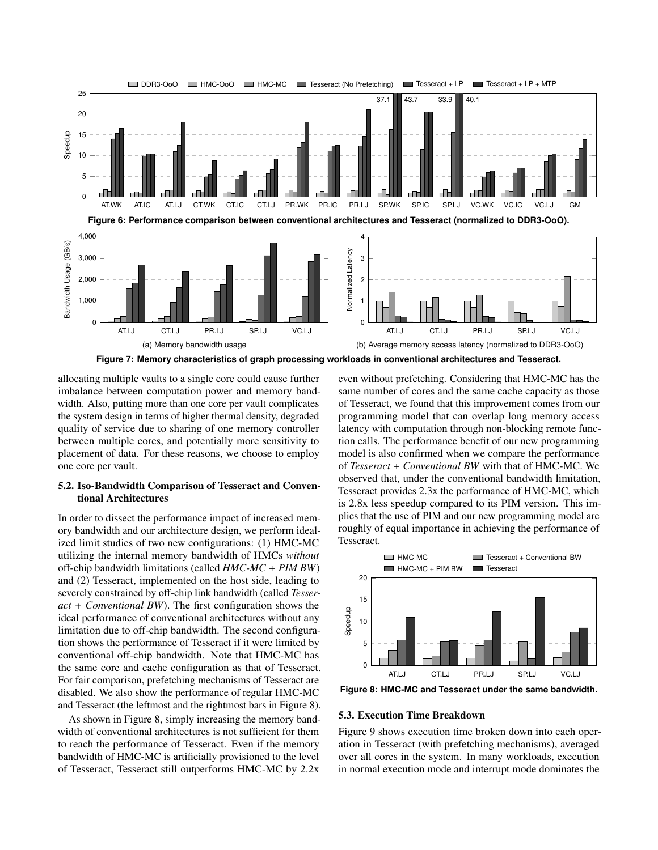

**Figure 7: Memory characteristics of graph processing workloads in conventional architectures and Tesseract.**

allocating multiple vaults to a single core could cause further imbalance between computation power and memory bandwidth. Also, putting more than one core per vault complicates the system design in terms of higher thermal density, degraded quality of service due to sharing of one memory controller between multiple cores, and potentially more sensitivity to placement of data. For these reasons, we choose to employ one core per vault.

## 5.2. Iso-Bandwidth Comparison of Tesseract and Conventional Architectures

In order to dissect the performance impact of increased memory bandwidth and our architecture design, we perform idealized limit studies of two new configurations: (1) HMC-MC utilizing the internal memory bandwidth of HMCs *without* off-chip bandwidth limitations (called *HMC-MC + PIM BW*) and (2) Tesseract, implemented on the host side, leading to severely constrained by off-chip link bandwidth (called *Tesseract + Conventional BW*). The first configuration shows the ideal performance of conventional architectures without any limitation due to off-chip bandwidth. The second configuration shows the performance of Tesseract if it were limited by conventional off-chip bandwidth. Note that HMC-MC has the same core and cache configuration as that of Tesseract. For fair comparison, prefetching mechanisms of Tesseract are disabled. We also show the performance of regular HMC-MC and Tesseract (the leftmost and the rightmost bars in Figure 8).

As shown in Figure 8, simply increasing the memory bandwidth of conventional architectures is not sufficient for them to reach the performance of Tesseract. Even if the memory bandwidth of HMC-MC is artificially provisioned to the level of Tesseract, Tesseract still outperforms HMC-MC by 2.2x

even without prefetching. Considering that HMC-MC has the same number of cores and the same cache capacity as those of Tesseract, we found that this improvement comes from our programming model that can overlap long memory access latency with computation through non-blocking remote function calls. The performance benefit of our new programming model is also confirmed when we compare the performance of *Tesseract + Conventional BW* with that of HMC-MC. We observed that, under the conventional bandwidth limitation, Tesseract provides 2.3x the performance of HMC-MC, which is 2.8x less speedup compared to its PIM version. This implies that the use of PIM and our new programming model are roughly of equal importance in achieving the performance of Tesseract.



**Figure 8: HMC-MC and Tesseract under the same bandwidth.**

### 5.3. Execution Time Breakdown

Figure 9 shows execution time broken down into each operation in Tesseract (with prefetching mechanisms), averaged over all cores in the system. In many workloads, execution in normal execution mode and interrupt mode dominates the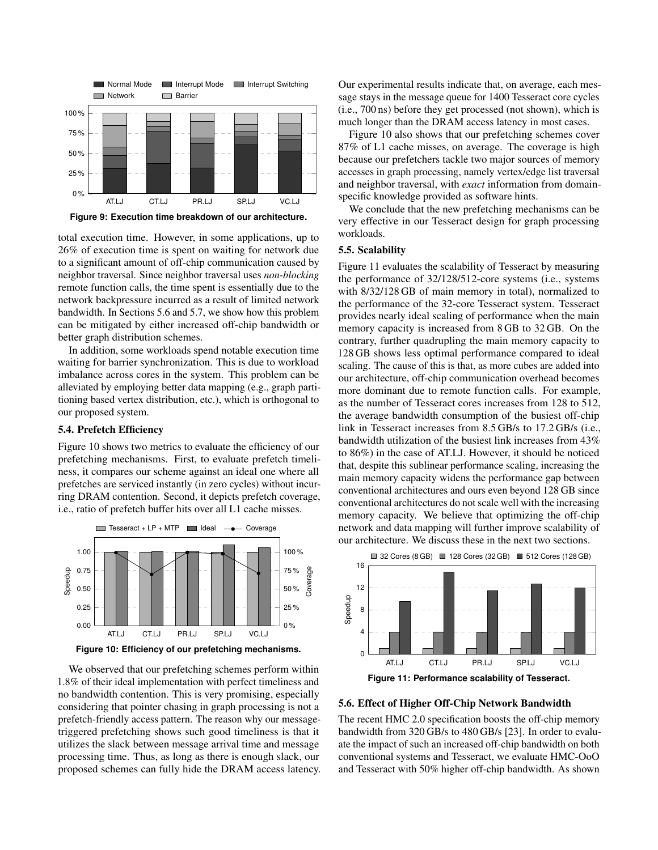

**Figure 9: Execution time breakdown of our architecture.**

total execution time. However, in some applications, up to 26% of execution time is spent on waiting for network due to a significant amount of off-chip communication caused by neighbor traversal. Since neighbor traversal uses *non-blocking* remote function calls, the time spent is essentially due to the network backpressure incurred as a result of limited network bandwidth. In Sections 5.6 and 5.7, we show how this problem can be mitigated by either increased off-chip bandwidth or better graph distribution schemes.

In addition, some workloads spend notable execution time waiting for barrier synchronization. This is due to workload imbalance across cores in the system. This problem can be alleviated by employing better data mapping (e.g., graph partitioning based vertex distribution, etc.), which is orthogonal to our proposed system.

## 5.4. Prefetch Efficiency

Figure 10 shows two metrics to evaluate the efficiency of our prefetching mechanisms. First, to evaluate prefetch timeliness, it compares our scheme against an ideal one where all prefetches are serviced instantly (in zero cycles) without incurring DRAM contention. Second, it depicts prefetch coverage, i.e., ratio of prefetch buffer hits over all L1 cache misses.



**Figure 10: Efficiency of our prefetching mechanisms.**

We observed that our prefetching schemes perform within 1.8% of their ideal implementation with perfect timeliness and no bandwidth contention. This is very promising, especially considering that pointer chasing in graph processing is not a prefetch-friendly access pattern. The reason why our messagetriggered prefetching shows such good timeliness is that it utilizes the slack between message arrival time and message processing time. Thus, as long as there is enough slack, our proposed schemes can fully hide the DRAM access latency. Our experimental results indicate that, on average, each message stays in the message queue for 1400 Tesseract core cycles (i.e., 700 ns) before they get processed (not shown), which is much longer than the DRAM access latency in most cases.

Figure 10 also shows that our prefetching schemes cover 87% of L1 cache misses, on average. The coverage is high because our prefetchers tackle two major sources of memory accesses in graph processing, namely vertex/edge list traversal and neighbor traversal, with *exact* information from domainspecific knowledge provided as software hints.

We conclude that the new prefetching mechanisms can be very effective in our Tesseract design for graph processing workloads.

## 5.5. Scalability

Figure 11 evaluates the scalability of Tesseract by measuring the performance of 32/128/512-core systems (i.e., systems with 8/32/128 GB of main memory in total), normalized to the performance of the 32-core Tesseract system. Tesseract provides nearly ideal scaling of performance when the main memory capacity is increased from 8 GB to 32 GB. On the contrary, further quadrupling the main memory capacity to 128 GB shows less optimal performance compared to ideal scaling. The cause of this is that, as more cubes are added into our architecture, off-chip communication overhead becomes more dominant due to remote function calls. For example, as the number of Tesseract cores increases from 128 to 512, the average bandwidth consumption of the busiest off-chip link in Tesseract increases from 8.5 GB/s to 17.2 GB/s (i.e., bandwidth utilization of the busiest link increases from 43% to 86%) in the case of AT.LJ. However, it should be noticed that, despite this sublinear performance scaling, increasing the main memory capacity widens the performance gap between conventional architectures and ours even beyond 128 GB since conventional architectures do not scale well with the increasing memory capacity. We believe that optimizing the off-chip network and data mapping will further improve scalability of our architecture. We discuss these in the next two sections.



## 5.6. Effect of Higher Off-Chip Network Bandwidth

The recent HMC 2.0 specification boosts the off-chip memory bandwidth from 320 GB/s to 480 GB/s [23]. In order to evaluate the impact of such an increased off-chip bandwidth on both conventional systems and Tesseract, we evaluate HMC-OoO and Tesseract with 50% higher off-chip bandwidth. As shown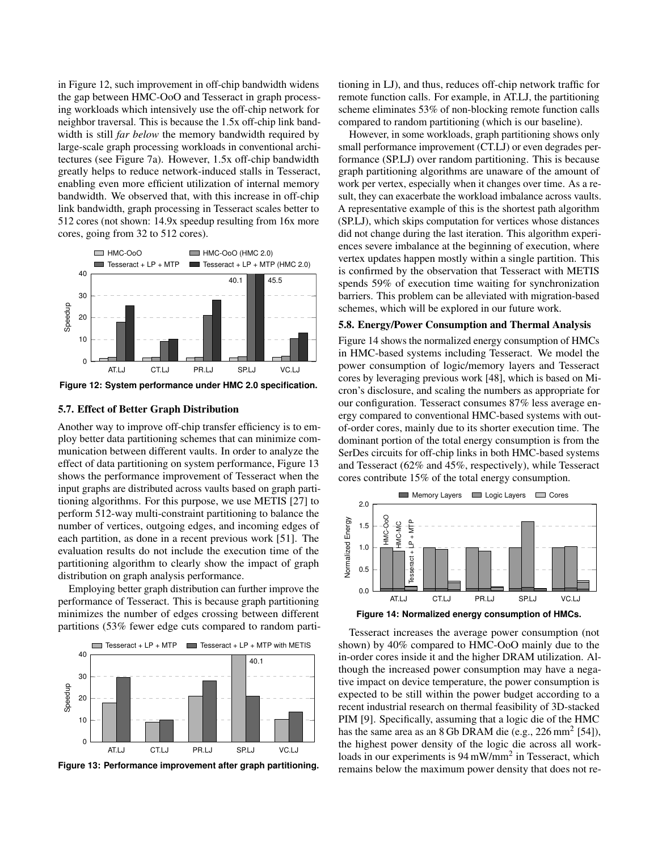in Figure 12, such improvement in off-chip bandwidth widens the gap between HMC-OoO and Tesseract in graph processing workloads which intensively use the off-chip network for neighbor traversal. This is because the 1.5x off-chip link bandwidth is still *far below* the memory bandwidth required by large-scale graph processing workloads in conventional architectures (see Figure 7a). However, 1.5x off-chip bandwidth greatly helps to reduce network-induced stalls in Tesseract, enabling even more efficient utilization of internal memory bandwidth. We observed that, with this increase in off-chip link bandwidth, graph processing in Tesseract scales better to 512 cores (not shown: 14.9x speedup resulting from 16x more cores, going from 32 to 512 cores).



**Figure 12: System performance under HMC 2.0 specification.**

#### 5.7. Effect of Better Graph Distribution

Another way to improve off-chip transfer efficiency is to employ better data partitioning schemes that can minimize communication between different vaults. In order to analyze the effect of data partitioning on system performance, Figure 13 shows the performance improvement of Tesseract when the input graphs are distributed across vaults based on graph partitioning algorithms. For this purpose, we use METIS [27] to perform 512-way multi-constraint partitioning to balance the number of vertices, outgoing edges, and incoming edges of each partition, as done in a recent previous work [51]. The evaluation results do not include the execution time of the partitioning algorithm to clearly show the impact of graph distribution on graph analysis performance.

Employing better graph distribution can further improve the performance of Tesseract. This is because graph partitioning minimizes the number of edges crossing between different partitions (53% fewer edge cuts compared to random parti-



**Figure 13: Performance improvement after graph partitioning.**

tioning in LJ), and thus, reduces off-chip network traffic for remote function calls. For example, in AT.LJ, the partitioning scheme eliminates 53% of non-blocking remote function calls compared to random partitioning (which is our baseline).

However, in some workloads, graph partitioning shows only small performance improvement (CT.LJ) or even degrades performance (SP.LJ) over random partitioning. This is because graph partitioning algorithms are unaware of the amount of work per vertex, especially when it changes over time. As a result, they can exacerbate the workload imbalance across vaults. A representative example of this is the shortest path algorithm (SP.LJ), which skips computation for vertices whose distances did not change during the last iteration. This algorithm experiences severe imbalance at the beginning of execution, where vertex updates happen mostly within a single partition. This is confirmed by the observation that Tesseract with METIS spends 59% of execution time waiting for synchronization barriers. This problem can be alleviated with migration-based schemes, which will be explored in our future work.

## 5.8. Energy/Power Consumption and Thermal Analysis

Figure 14 shows the normalized energy consumption of HMCs in HMC-based systems including Tesseract. We model the power consumption of logic/memory layers and Tesseract cores by leveraging previous work [48], which is based on Micron's disclosure, and scaling the numbers as appropriate for our configuration. Tesseract consumes 87% less average energy compared to conventional HMC-based systems with outof-order cores, mainly due to its shorter execution time. The dominant portion of the total energy consumption is from the SerDes circuits for off-chip links in both HMC-based systems and Tesseract (62% and 45%, respectively), while Tesseract cores contribute 15% of the total energy consumption.



**Figure 14: Normalized energy consumption of HMCs.**

Tesseract increases the average power consumption (not shown) by 40% compared to HMC-OoO mainly due to the in-order cores inside it and the higher DRAM utilization. Although the increased power consumption may have a negative impact on device temperature, the power consumption is expected to be still within the power budget according to a recent industrial research on thermal feasibility of 3D-stacked PIM [9]. Specifically, assuming that a logic die of the HMC has the same area as an 8 Gb DRAM die (e.g.,  $226 \text{ mm}^2$  [54]), the highest power density of the logic die across all workloads in our experiments is 94 mW/mm<sup>2</sup> in Tesseract, which remains below the maximum power density that does not re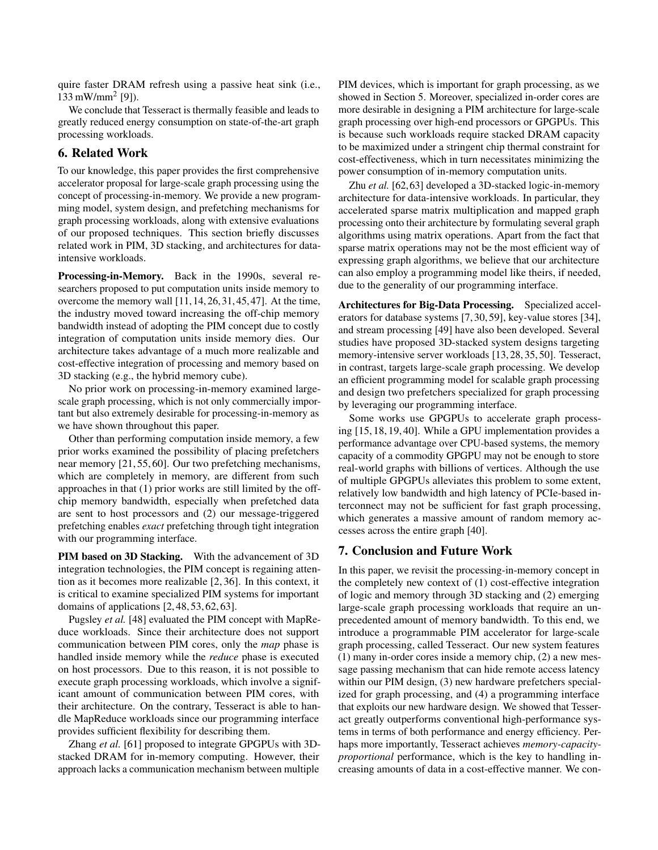quire faster DRAM refresh using a passive heat sink (i.e., 133 mW/mm<sup>2</sup> [9]).

We conclude that Tesseract is thermally feasible and leads to greatly reduced energy consumption on state-of-the-art graph processing workloads.

# 6. Related Work

To our knowledge, this paper provides the first comprehensive accelerator proposal for large-scale graph processing using the concept of processing-in-memory. We provide a new programming model, system design, and prefetching mechanisms for graph processing workloads, along with extensive evaluations of our proposed techniques. This section briefly discusses related work in PIM, 3D stacking, and architectures for dataintensive workloads.

Processing-in-Memory. Back in the 1990s, several researchers proposed to put computation units inside memory to overcome the memory wall [11, 14, 26, 31, 45, 47]. At the time, the industry moved toward increasing the off-chip memory bandwidth instead of adopting the PIM concept due to costly integration of computation units inside memory dies. Our architecture takes advantage of a much more realizable and cost-effective integration of processing and memory based on 3D stacking (e.g., the hybrid memory cube).

No prior work on processing-in-memory examined largescale graph processing, which is not only commercially important but also extremely desirable for processing-in-memory as we have shown throughout this paper.

Other than performing computation inside memory, a few prior works examined the possibility of placing prefetchers near memory [21, 55, 60]. Our two prefetching mechanisms, which are completely in memory, are different from such approaches in that (1) prior works are still limited by the offchip memory bandwidth, especially when prefetched data are sent to host processors and (2) our message-triggered prefetching enables *exact* prefetching through tight integration with our programming interface.

PIM based on 3D Stacking. With the advancement of 3D integration technologies, the PIM concept is regaining attention as it becomes more realizable [2, 36]. In this context, it is critical to examine specialized PIM systems for important domains of applications [2, 48, 53, 62, 63].

Pugsley *et al.* [48] evaluated the PIM concept with MapReduce workloads. Since their architecture does not support communication between PIM cores, only the *map* phase is handled inside memory while the *reduce* phase is executed on host processors. Due to this reason, it is not possible to execute graph processing workloads, which involve a significant amount of communication between PIM cores, with their architecture. On the contrary, Tesseract is able to handle MapReduce workloads since our programming interface provides sufficient flexibility for describing them.

Zhang *et al.* [61] proposed to integrate GPGPUs with 3Dstacked DRAM for in-memory computing. However, their approach lacks a communication mechanism between multiple

PIM devices, which is important for graph processing, as we showed in Section 5. Moreover, specialized in-order cores are more desirable in designing a PIM architecture for large-scale graph processing over high-end processors or GPGPUs. This is because such workloads require stacked DRAM capacity to be maximized under a stringent chip thermal constraint for cost-effectiveness, which in turn necessitates minimizing the power consumption of in-memory computation units.

Zhu *et al.* [62, 63] developed a 3D-stacked logic-in-memory architecture for data-intensive workloads. In particular, they accelerated sparse matrix multiplication and mapped graph processing onto their architecture by formulating several graph algorithms using matrix operations. Apart from the fact that sparse matrix operations may not be the most efficient way of expressing graph algorithms, we believe that our architecture can also employ a programming model like theirs, if needed, due to the generality of our programming interface.

Architectures for Big-Data Processing. Specialized accelerators for database systems [7, 30, 59], key-value stores [34], and stream processing [49] have also been developed. Several studies have proposed 3D-stacked system designs targeting memory-intensive server workloads [13, 28, 35, 50]. Tesseract, in contrast, targets large-scale graph processing. We develop an efficient programming model for scalable graph processing and design two prefetchers specialized for graph processing by leveraging our programming interface.

Some works use GPGPUs to accelerate graph processing [15, 18, 19, 40]. While a GPU implementation provides a performance advantage over CPU-based systems, the memory capacity of a commodity GPGPU may not be enough to store real-world graphs with billions of vertices. Although the use of multiple GPGPUs alleviates this problem to some extent, relatively low bandwidth and high latency of PCIe-based interconnect may not be sufficient for fast graph processing, which generates a massive amount of random memory accesses across the entire graph [40].

## 7. Conclusion and Future Work

In this paper, we revisit the processing-in-memory concept in the completely new context of (1) cost-effective integration of logic and memory through 3D stacking and (2) emerging large-scale graph processing workloads that require an unprecedented amount of memory bandwidth. To this end, we introduce a programmable PIM accelerator for large-scale graph processing, called Tesseract. Our new system features (1) many in-order cores inside a memory chip, (2) a new message passing mechanism that can hide remote access latency within our PIM design, (3) new hardware prefetchers specialized for graph processing, and (4) a programming interface that exploits our new hardware design. We showed that Tesseract greatly outperforms conventional high-performance systems in terms of both performance and energy efficiency. Perhaps more importantly, Tesseract achieves *memory-capacityproportional* performance, which is the key to handling increasing amounts of data in a cost-effective manner. We con